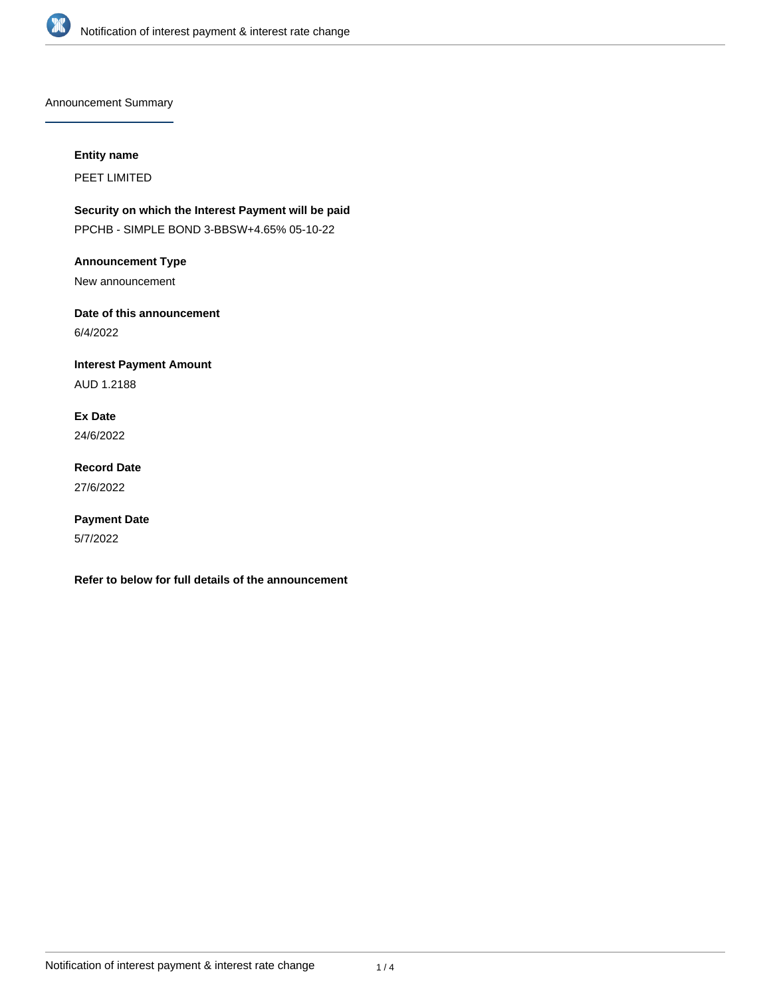

Announcement Summary

# **Entity name**

PEET LIMITED

**Security on which the Interest Payment will be paid** PPCHB - SIMPLE BOND 3-BBSW+4.65% 05-10-22

**Announcement Type**

New announcement

**Date of this announcement** 6/4/2022

**Interest Payment Amount** AUD 1.2188

**Ex Date** 24/6/2022

**Record Date** 27/6/2022

**Payment Date** 5/7/2022

**Refer to below for full details of the announcement**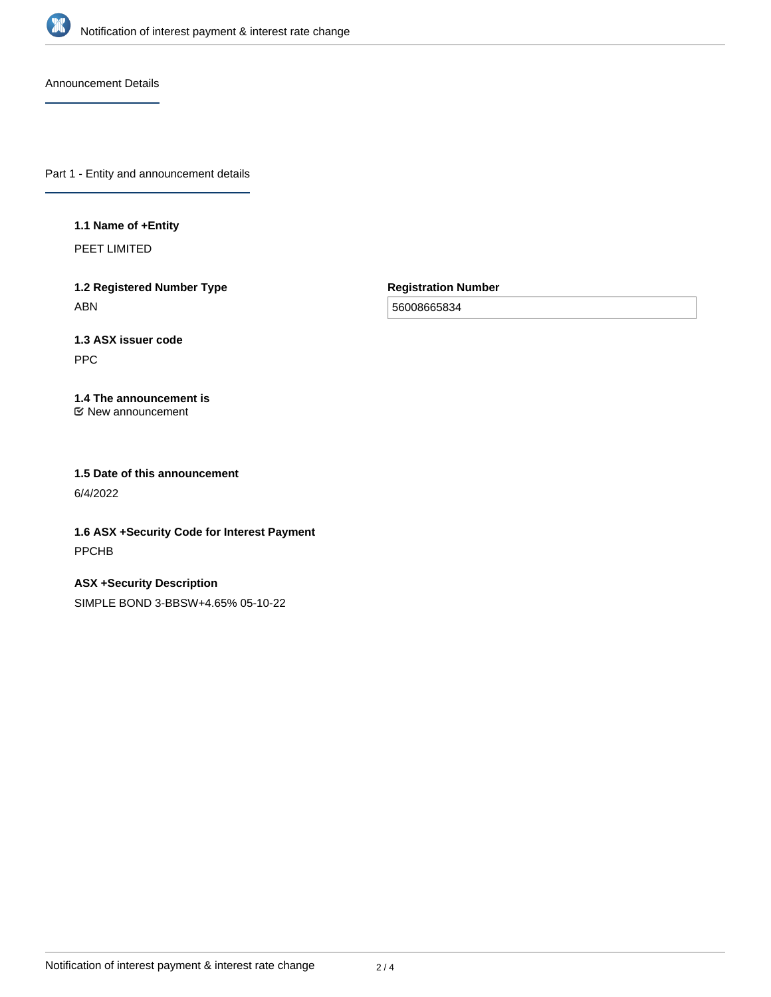

Announcement Details

Part 1 - Entity and announcement details

## **1.1 Name of +Entity**

PEET LIMITED

**1.2 Registered Number Type** ABN

**Registration Number**

56008665834

# **1.3 ASX issuer code**

PPC

#### **1.4 The announcement is** New announcement

**1.5 Date of this announcement** 6/4/2022

**1.6 ASX +Security Code for Interest Payment** PPCHB

**ASX +Security Description** SIMPLE BOND 3-BBSW+4.65% 05-10-22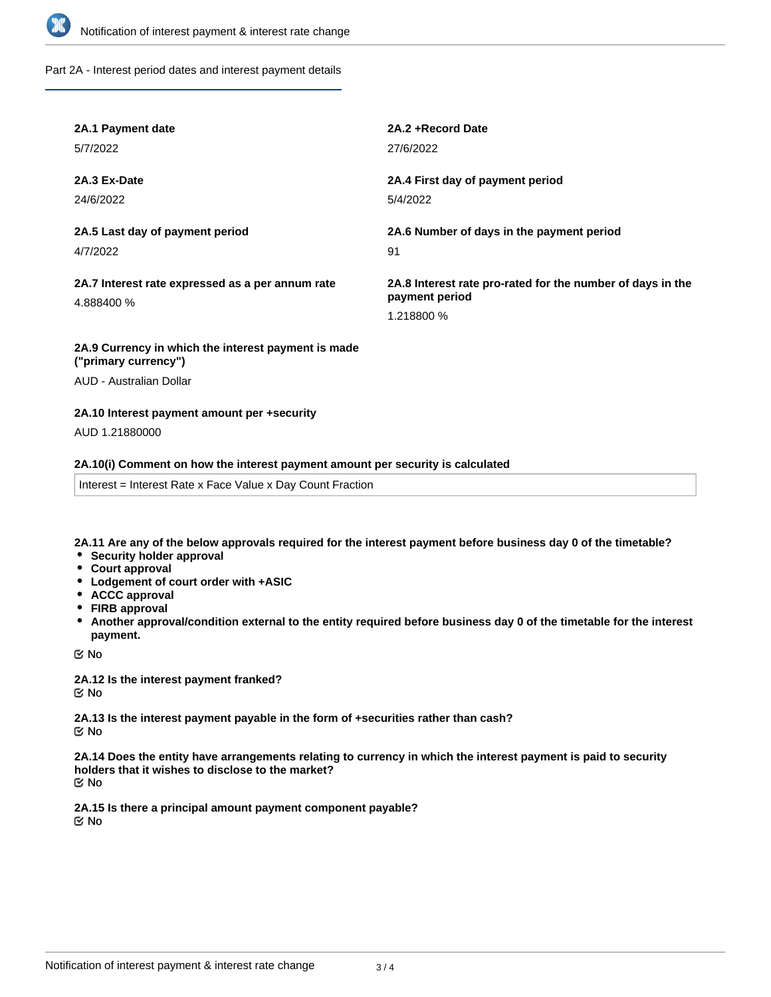

Part 2A - Interest period dates and interest payment details

| 2A.1 Payment date                                              | 2A.2 + Record Date                                                                         |
|----------------------------------------------------------------|--------------------------------------------------------------------------------------------|
| 5/7/2022                                                       | 27/6/2022                                                                                  |
| 2A.3 Ex-Date                                                   | 2A.4 First day of payment period                                                           |
| 24/6/2022                                                      | 5/4/2022                                                                                   |
| 2A.5 Last day of payment period                                | 2A.6 Number of days in the payment period                                                  |
| 4/7/2022                                                       | 91                                                                                         |
| 2A.7 Interest rate expressed as a per annum rate<br>4.888400 % | 2A.8 Interest rate pro-rated for the number of days in the<br>payment period<br>1.218800 % |
| 2A.9 Currency in which the interest payment is made            |                                                                                            |

# **("primary currency")**

AUD - Australian Dollar

## **2A.10 Interest payment amount per +security**

AUD 1.21880000

## **2A.10(i) Comment on how the interest payment amount per security is calculated**

Interest = Interest Rate x Face Value x Day Count Fraction

**2A.11 Are any of the below approvals required for the interest payment before business day 0 of the timetable?**

- **•** Security holder approval
- **Court approval**
- **Lodgement of court order with +ASIC**
- **ACCC approval**
- **FIRB approval**
- **Another approval/condition external to the entity required before business day 0 of the timetable for the interest payment.**

No

**2A.12 Is the interest payment franked?** No

**2A.13 Is the interest payment payable in the form of +securities rather than cash?** No

**2A.14 Does the entity have arrangements relating to currency in which the interest payment is paid to security holders that it wishes to disclose to the market?** No

**2A.15 Is there a principal amount payment component payable?** No